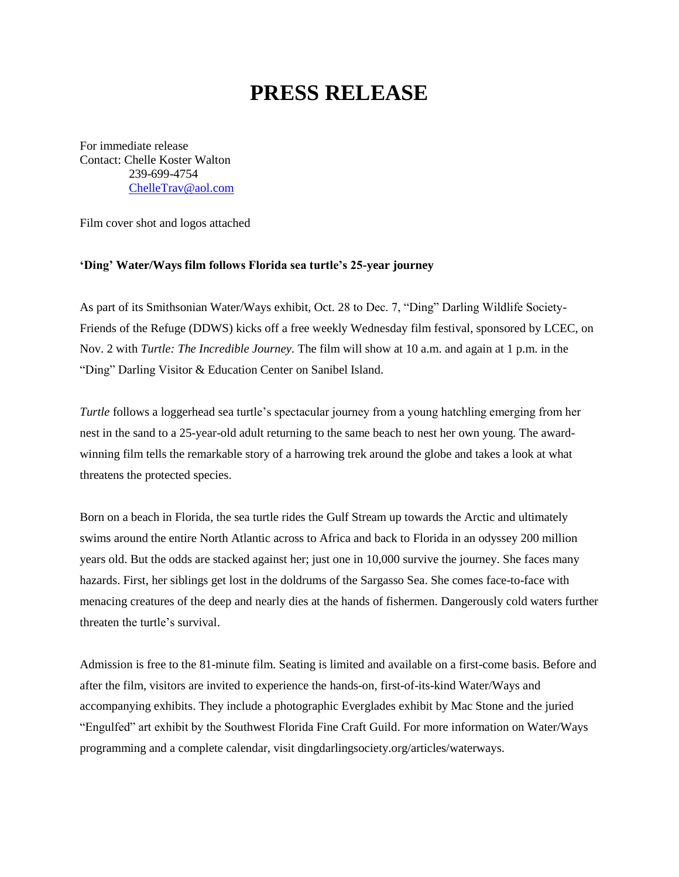## **PRESS RELEASE**

For immediate release Contact: Chelle Koster Walton 239-699-4754 [ChelleTrav@aol.com](mailto:ChelleTrav@aol.com)

Film cover shot and logos attached

## **'Ding' Water/Ways film follows Florida sea turtle's 25-year journey**

As part of its Smithsonian Water/Ways exhibit, Oct. 28 to Dec. 7, "Ding" Darling Wildlife Society-Friends of the Refuge (DDWS) kicks off a free weekly Wednesday film festival, sponsored by LCEC, on Nov. 2 with *Turtle: The Incredible Journey.* The film will show at 10 a.m. and again at 1 p.m. in the "Ding" Darling Visitor & Education Center on Sanibel Island.

*Turtle* follows a loggerhead sea turtle's spectacular journey from a young hatchling emerging from her nest in the sand to a 25-year-old adult returning to the same beach to nest her own young. The awardwinning film tells the remarkable story of a harrowing trek around the globe and takes a look at what threatens the protected species.

Born on a beach in Florida, the sea turtle rides the Gulf Stream up towards the Arctic and ultimately swims around the entire North Atlantic across to Africa and back to Florida in an odyssey 200 million years old. But the odds are stacked against her; just one in 10,000 survive the journey. She faces many hazards. First, her siblings get lost in the doldrums of the Sargasso Sea. She comes face-to-face with menacing creatures of the deep and nearly dies at the hands of fishermen. Dangerously cold waters further threaten the turtle's survival.

Admission is free to the 81-minute film. Seating is limited and available on a first-come basis. Before and after the film, visitors are invited to experience the hands-on, first-of-its-kind Water/Ways and accompanying exhibits. They include a photographic Everglades exhibit by Mac Stone and the juried "Engulfed" art exhibit by the Southwest Florida Fine Craft Guild. For more information on Water/Ways programming and a complete calendar, visit dingdarlingsociety.org/articles/waterways.